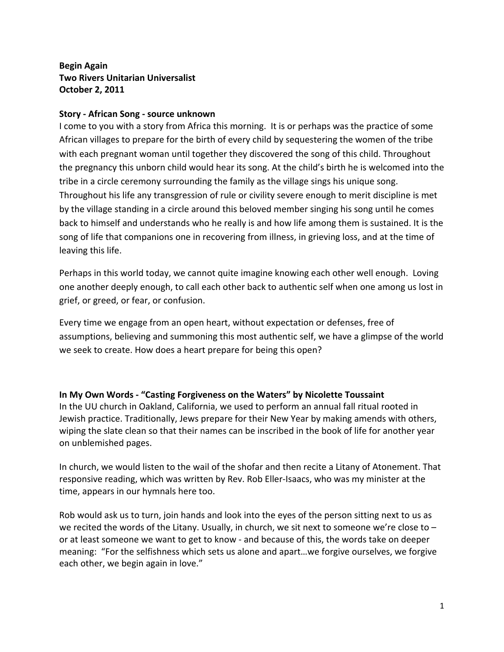## **Begin&Again Two Rivers Unitarian Universalist October 2, 2011**

## **Story - African Song - source unknown**

I come to you with a story from Africa this morning. It is or perhaps was the practice of some African villages to prepare for the birth of every child by sequestering the women of the tribe with each pregnant woman until together they discovered the song of this child. Throughout the pregnancy this unborn child would hear its song. At the child's birth he is welcomed into the tribe in a circle ceremony surrounding the family as the village sings his unique song. Throughout his life any transgression of rule or civility severe enough to merit discipline is met by the village standing in a circle around this beloved member singing his song until he comes back to himself and understands who he really is and how life among them is sustained. It is the song of life that companions one in recovering from illness, in grieving loss, and at the time of leaving this life.

Perhaps in this world today, we cannot quite imagine knowing each other well enough. Loving one another deeply enough, to call each other back to authentic self when one among us lost in grief, or greed, or fear, or confusion.

Every time we engage from an open heart, without expectation or defenses, free of assumptions, believing and summoning this most authentic self, we have a glimpse of the world we seek to create. How does a heart prepare for being this open?

In My Own Words - "Casting Forgiveness on the Waters" by Nicolette Toussaint In the UU church in Oakland, California, we used to perform an annual fall ritual rooted in Jewish practice. Traditionally, Jews prepare for their New Year by making amends with others, wiping the slate clean so that their names can be inscribed in the book of life for another year on unblemished pages.

In church, we would listen to the wail of the shofar and then recite a Litany of Atonement. That responsive reading, which was written by Rev. Rob Eller-Isaacs, who was my minister at the time, appears in our hymnals here too.

Rob would ask us to turn, join hands and look into the eyes of the person sitting next to us as we recited the words of the Litany. Usually, in church, we sit next to someone we're close to – or at least someone we want to get to know - and because of this, the words take on deeper meaning: "For the selfishness which sets us alone and apart...we forgive ourselves, we forgive each other, we begin again in love."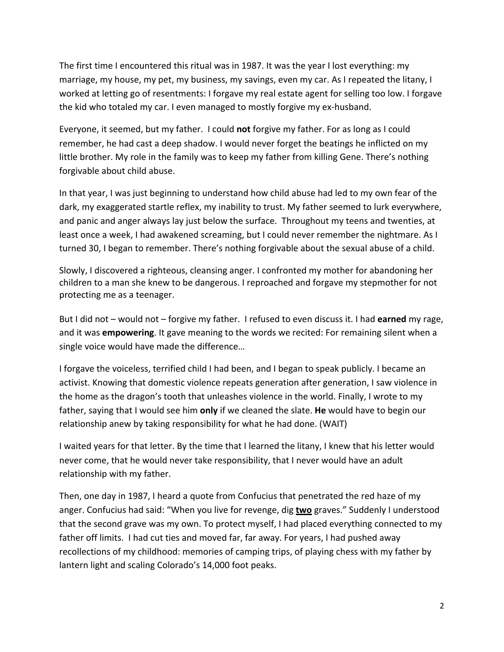The first time I encountered this ritual was in 1987. It was the year I lost everything: my marriage, my house, my pet, my business, my savings, even my car. As I repeated the litany, I worked at letting go of resentments: I forgave my real estate agent for selling too low. I forgave the kid who totaled my car. I even managed to mostly forgive my ex-husband.

Everyone, it seemed, but my father. I could not forgive my father. For as long as I could remember, he had cast a deep shadow. I would never forget the beatings he inflicted on my little brother. My role in the family was to keep my father from killing Gene. There's nothing forgivable about child abuse.

In that year, I was just beginning to understand how child abuse had led to my own fear of the dark, my exaggerated startle reflex, my inability to trust. My father seemed to lurk everywhere, and panic and anger always lay just below the surface. Throughout my teens and twenties, at least once a week, I had awakened screaming, but I could never remember the nightmare. As I turned 30, I began to remember. There's nothing forgivable about the sexual abuse of a child.

Slowly, I discovered a righteous, cleansing anger. I confronted my mother for abandoning her children to a man she knew to be dangerous. I reproached and forgave my stepmother for not protecting me as a teenager.

But I did not – would not – forgive my father. I refused to even discuss it. I had **earned** my rage, and it was **empowering**. It gave meaning to the words we recited: For remaining silent when a single voice would have made the difference...

I forgave the voiceless, terrified child I had been, and I began to speak publicly. I became an activist. Knowing that domestic violence repeats generation after generation, I saw violence in the home as the dragon's tooth that unleashes violence in the world. Finally, I wrote to my father, saying that I would see him **only** if we cleaned the slate. **He** would have to begin our relationship anew by taking responsibility for what he had done. (WAIT)

I waited years for that letter. By the time that I learned the litany, I knew that his letter would never come, that he would never take responsibility, that I never would have an adult relationship with my father.

Then, one day in 1987, I heard a quote from Confucius that penetrated the red haze of my anger. Confucius had said: "When you live for revenge, dig **two** graves." Suddenly I understood that the second grave was my own. To protect myself, I had placed everything connected to my father off limits. I had cut ties and moved far, far away. For years, I had pushed away recollections of my childhood: memories of camping trips, of playing chess with my father by lantern light and scaling Colorado's 14,000 foot peaks.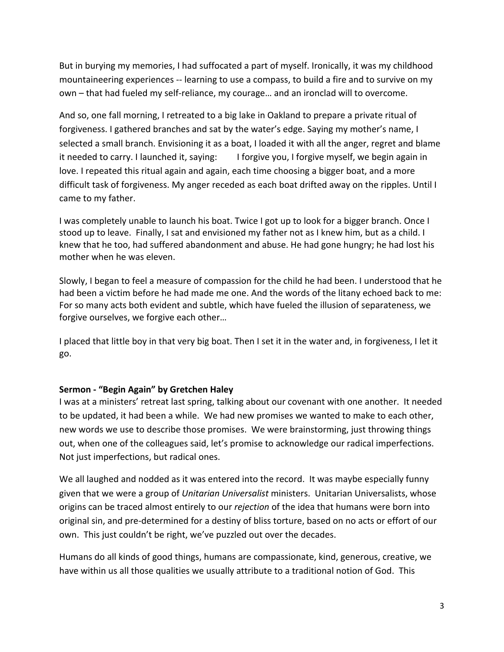But in burying my memories, I had suffocated a part of myself. Ironically, it was my childhood mountaineering experiences -- learning to use a compass, to build a fire and to survive on my own – that had fueled my self-reliance, my courage... and an ironclad will to overcome.

And so, one fall morning, I retreated to a big lake in Oakland to prepare a private ritual of forgiveness. I gathered branches and sat by the water's edge. Saying my mother's name, I selected a small branch. Envisioning it as a boat, I loaded it with all the anger, regret and blame it needed to carry. I launched it, saying: I forgive you, I forgive myself, we begin again in love. I repeated this ritual again and again, each time choosing a bigger boat, and a more difficult task of forgiveness. My anger receded as each boat drifted away on the ripples. Until I came to my father.

I was completely unable to launch his boat. Twice I got up to look for a bigger branch. Once I stood up to leave. Finally, I sat and envisioned my father not as I knew him, but as a child. I knew that he too, had suffered abandonment and abuse. He had gone hungry; he had lost his mother when he was eleven.

Slowly, I began to feel a measure of compassion for the child he had been. I understood that he had been a victim before he had made me one. And the words of the litany echoed back to me: For so many acts both evident and subtle, which have fueled the illusion of separateness, we forgive ourselves, we forgive each other...

I placed that little boy in that very big boat. Then I set it in the water and, in forgiveness, I let it go.

## Sermon - "Begin Again" by Gretchen Haley

I was at a ministers' retreat last spring, talking about our covenant with one another. It needed to be updated, it had been a while. We had new promises we wanted to make to each other, new words we use to describe those promises. We were brainstorming, just throwing things out, when one of the colleagues said, let's promise to acknowledge our radical imperfections. Not just imperfections, but radical ones.

We all laughed and nodded as it was entered into the record. It was maybe especially funny given that we were a group of *Unitarian Universalist* ministers. Unitarian Universalists, whose origins can be traced almost entirely to our *rejection* of the idea that humans were born into original sin, and pre-determined for a destiny of bliss torture, based on no acts or effort of our own. This just couldn't be right, we've puzzled out over the decades.

Humans do all kinds of good things, humans are compassionate, kind, generous, creative, we have within us all those qualities we usually attribute to a traditional notion of God. This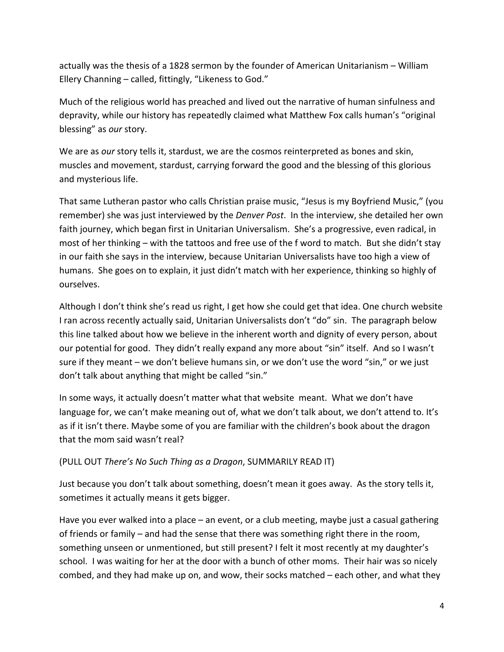actually was the thesis of a 1828 sermon by the founder of American Unitarianism – William Ellery Channing – called, fittingly, "Likeness to God."

Much of the religious world has preached and lived out the narrative of human sinfulness and depravity, while our history has repeatedly claimed what Matthew Fox calls human's "original" blessing" as *our* story.

We are as *our* story tells it, stardust, we are the cosmos reinterpreted as bones and skin, muscles and movement, stardust, carrying forward the good and the blessing of this glorious and mysterious life.

That same Lutheran pastor who calls Christian praise music, "Jesus is my Boyfriend Music," (you remember) she was just interviewed by the *Denver Post*. In the interview, she detailed her own faith journey, which began first in Unitarian Universalism. She's a progressive, even radical, in most of her thinking – with the tattoos and free use of the f word to match. But she didn't stay in our faith she says in the interview, because Unitarian Universalists have too high a view of humans. She goes on to explain, it just didn't match with her experience, thinking so highly of ourselves.

Although I don't think she's read us right, I get how she could get that idea. One church website I ran across recently actually said, Unitarian Universalists don't "do" sin. The paragraph below this line talked about how we believe in the inherent worth and dignity of every person, about our potential for good. They didn't really expand any more about "sin" itself. And so I wasn't sure if they meant – we don't believe humans sin, or we don't use the word "sin," or we just don't talk about anything that might be called "sin."

In some ways, it actually doesn't matter what that website meant. What we don't have language for, we can't make meaning out of, what we don't talk about, we don't attend to. It's as if it isn't there. Maybe some of you are familiar with the children's book about the dragon that the mom said wasn't real?

## (PULL OUT There's No Such Thing as a Dragon, SUMMARILY READ IT)

Just because you don't talk about something, doesn't mean it goes away. As the story tells it, sometimes it actually means it gets bigger.

Have you ever walked into a place – an event, or a club meeting, maybe just a casual gathering of friends or family – and had the sense that there was something right there in the room, something unseen or unmentioned, but still present? I felt it most recently at my daughter's school. I was waiting for her at the door with a bunch of other moms. Their hair was so nicely combed, and they had make up on, and wow, their socks matched – each other, and what they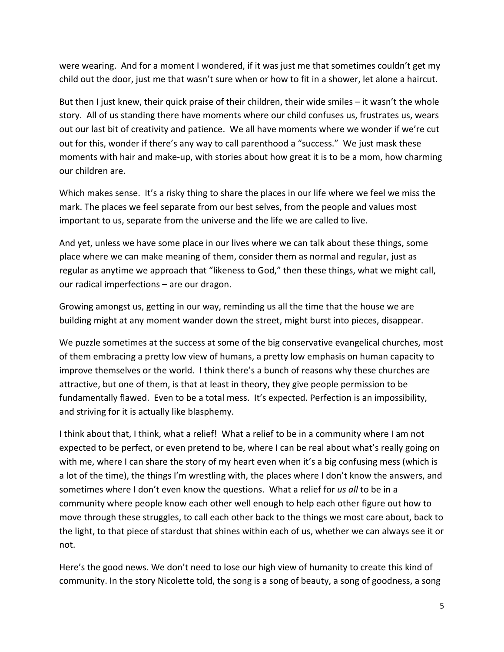were wearing. And for a moment I wondered, if it was just me that sometimes couldn't get my child out the door, just me that wasn't sure when or how to fit in a shower, let alone a haircut.

But then I just knew, their quick praise of their children, their wide smiles – it wasn't the whole story. All of us standing there have moments where our child confuses us, frustrates us, wears out our last bit of creativity and patience. We all have moments where we wonder if we're cut out for this, wonder if there's any way to call parenthood a "success." We just mask these moments with hair and make-up, with stories about how great it is to be a mom, how charming our children are.

Which makes sense. It's a risky thing to share the places in our life where we feel we miss the mark. The places we feel separate from our best selves, from the people and values most important to us, separate from the universe and the life we are called to live.

And yet, unless we have some place in our lives where we can talk about these things, some place where we can make meaning of them, consider them as normal and regular, just as regular as anytime we approach that "likeness to God," then these things, what we might call, our radical imperfections – are our dragon.

Growing amongst us, getting in our way, reminding us all the time that the house we are building might at any moment wander down the street, might burst into pieces, disappear.

We puzzle sometimes at the success at some of the big conservative evangelical churches, most of them embracing a pretty low view of humans, a pretty low emphasis on human capacity to improve themselves or the world. I think there's a bunch of reasons why these churches are attractive, but one of them, is that at least in theory, they give people permission to be fundamentally flawed. Even to be a total mess. It's expected. Perfection is an impossibility, and striving for it is actually like blasphemy.

I think about that, I think, what a relief! What a relief to be in a community where I am not expected to be perfect, or even pretend to be, where I can be real about what's really going on with me, where I can share the story of my heart even when it's a big confusing mess (which is a lot of the time), the things I'm wrestling with, the places where I don't know the answers, and sometimes where I don't even know the questions. What a relief for us all to be in a community where people know each other well enough to help each other figure out how to move through these struggles, to call each other back to the things we most care about, back to the light, to that piece of stardust that shines within each of us, whether we can always see it or not.

Here's the good news. We don't need to lose our high view of humanity to create this kind of community. In the story Nicolette told, the song is a song of beauty, a song of goodness, a song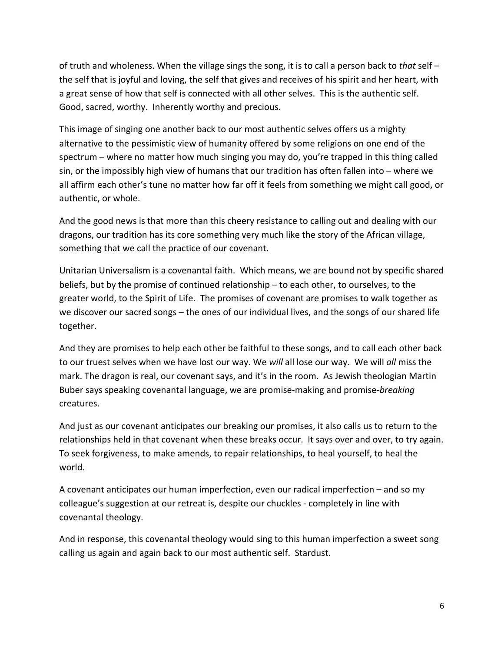of truth and wholeness. When the village sings the song, it is to call a person back to that self – the self that is joyful and loving, the self that gives and receives of his spirit and her heart, with a great sense of how that self is connected with all other selves. This is the authentic self. Good, sacred, worthy. Inherently worthy and precious.

This image of singing one another back to our most authentic selves offers us a mighty alternative to the pessimistic view of humanity offered by some religions on one end of the spectrum – where no matter how much singing you may do, you're trapped in this thing called sin, or the impossibly high view of humans that our tradition has often fallen into – where we all affirm each other's tune no matter how far off it feels from something we might call good, or authentic, or whole.

And the good news is that more than this cheery resistance to calling out and dealing with our dragons, our tradition has its core something very much like the story of the African village, something that we call the practice of our covenant.

Unitarian Universalism is a covenantal faith. Which means, we are bound not by specific shared beliefs, but by the promise of continued relationship – to each other, to ourselves, to the greater world, to the Spirit of Life. The promises of covenant are promises to walk together as we discover our sacred songs – the ones of our individual lives, and the songs of our shared life together.

And they are promises to help each other be faithful to these songs, and to call each other back to our truest selves when we have lost our way. We will all lose our way. We will all miss the mark. The dragon is real, our covenant says, and it's in the room. As Jewish theologian Martin Buber says speaking covenantal language, we are promise-making and promise-*breaking* creatures.

And just as our covenant anticipates our breaking our promises, it also calls us to return to the relationships held in that covenant when these breaks occur. It says over and over, to try again. To seek forgiveness, to make amends, to repair relationships, to heal yourself, to heal the world.

A covenant anticipates our human imperfection, even our radical imperfection – and so my colleague's suggestion at our retreat is, despite our chuckles - completely in line with covenantal theology.

And in response, this covenantal theology would sing to this human imperfection a sweet song calling us again and again back to our most authentic self. Stardust.